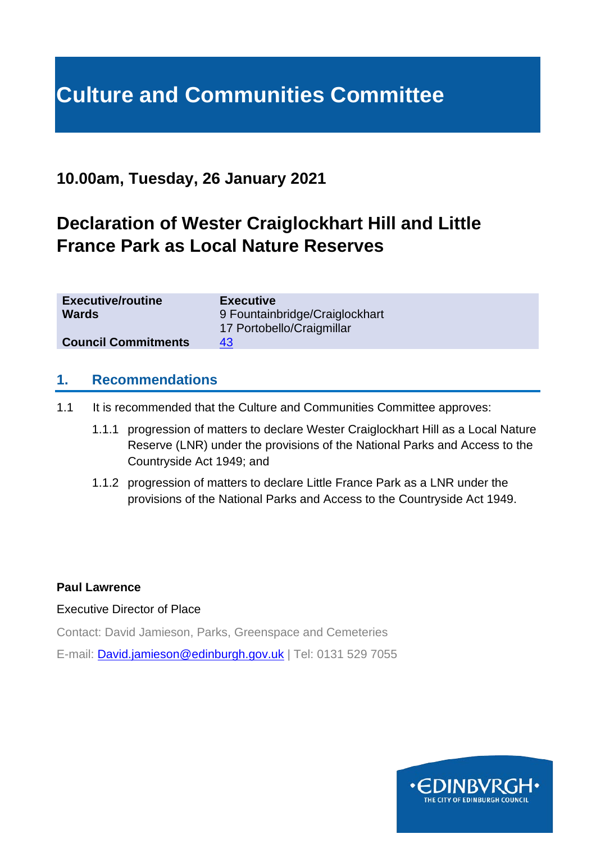# **Culture and Communities Committee**

## **10.00am, Tuesday, 26 January 2021**

# **Declaration of Wester Craiglockhart Hill and Little France Park as Local Nature Reserves**

| <b>Executive</b>               |
|--------------------------------|
| 9 Fountainbridge/Craiglockhart |
| 17 Portobello/Craigmillar      |
| 43                             |
|                                |

#### **1. Recommendations**

- 1.1 It is recommended that the Culture and Communities Committee approves:
	- 1.1.1 progression of matters to declare Wester Craiglockhart Hill as a Local Nature Reserve (LNR) under the provisions of the National Parks and Access to the Countryside Act 1949; and
	- 1.1.2 progression of matters to declare Little France Park as a LNR under the provisions of the National Parks and Access to the Countryside Act 1949.

#### **Paul Lawrence**

#### Executive Director of Place

Contact: David Jamieson, Parks, Greenspace and Cemeteries

E-mail: [David.jamieson@edinburgh.gov.uk](mailto:David.jamieson@edinburgh.gov.uk) | Tel: 0131 529 7055

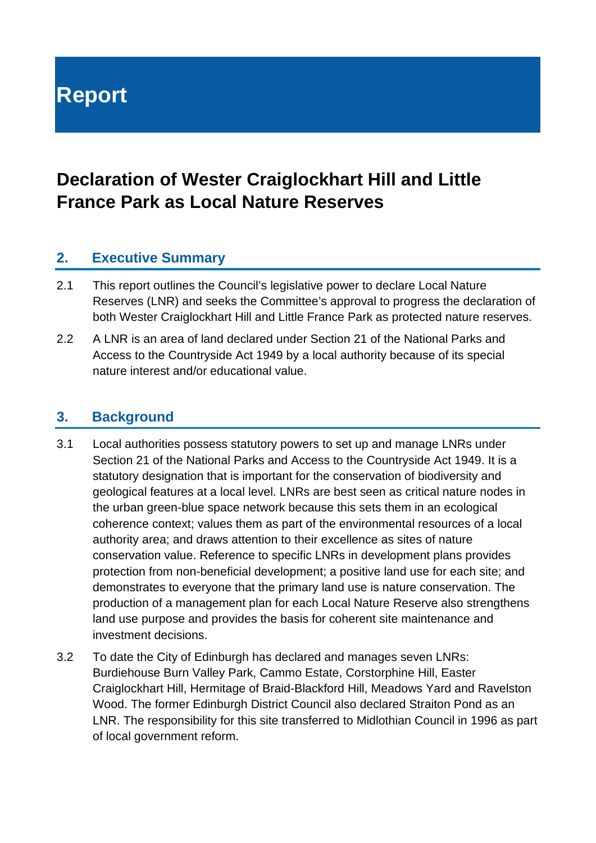# **Report**

# **Declaration of Wester Craiglockhart Hill and Little France Park as Local Nature Reserves**

#### **2. Executive Summary**

- 2.1 This report outlines the Council's legislative power to declare Local Nature Reserves (LNR) and seeks the Committee's approval to progress the declaration of both Wester Craiglockhart Hill and Little France Park as protected nature reserves.
- 2.2 A LNR is an area of land declared under Section 21 of the National Parks and Access to the Countryside Act 1949 by a local authority because of its special nature interest and/or educational value.

#### **3. Background**

- 3.1 Local authorities possess statutory powers to set up and manage LNRs under Section 21 of the National Parks and Access to the Countryside Act 1949. It is a statutory designation that is important for the conservation of biodiversity and geological features at a local level. LNRs are best seen as critical nature nodes in the urban green-blue space network because this sets them in an ecological coherence context; values them as part of the environmental resources of a local authority area; and draws attention to their excellence as sites of nature conservation value. Reference to specific LNRs in development plans provides protection from non-beneficial development; a positive land use for each site; and demonstrates to everyone that the primary land use is nature conservation. The production of a management plan for each Local Nature Reserve also strengthens land use purpose and provides the basis for coherent site maintenance and investment decisions.
- 3.2 To date the City of Edinburgh has declared and manages seven LNRs: Burdiehouse Burn Valley Park, Cammo Estate, Corstorphine Hill, Easter Craiglockhart Hill, Hermitage of Braid-Blackford Hill, Meadows Yard and Ravelston Wood. The former Edinburgh District Council also declared Straiton Pond as an LNR. The responsibility for this site transferred to Midlothian Council in 1996 as part of local government reform.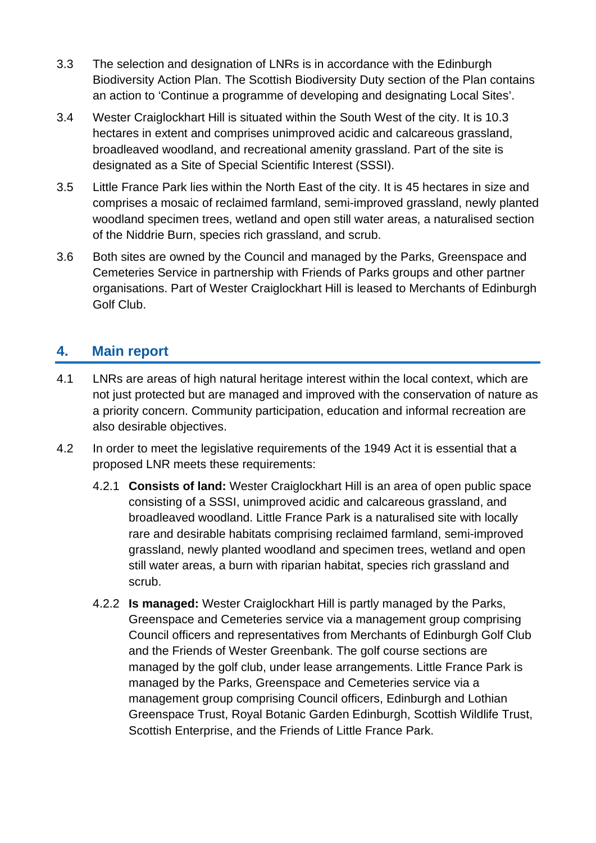- 3.3 The selection and designation of LNRs is in accordance with the Edinburgh Biodiversity Action Plan. The Scottish Biodiversity Duty section of the Plan contains an action to 'Continue a programme of developing and designating Local Sites'.
- 3.4 Wester Craiglockhart Hill is situated within the South West of the city. It is 10.3 hectares in extent and comprises unimproved acidic and calcareous grassland, broadleaved woodland, and recreational amenity grassland. Part of the site is designated as a Site of Special Scientific Interest (SSSI).
- 3.5 Little France Park lies within the North East of the city. It is 45 hectares in size and comprises a mosaic of reclaimed farmland, semi-improved grassland, newly planted woodland specimen trees, wetland and open still water areas, a naturalised section of the Niddrie Burn, species rich grassland, and scrub.
- 3.6 Both sites are owned by the Council and managed by the Parks, Greenspace and Cemeteries Service in partnership with Friends of Parks groups and other partner organisations. Part of Wester Craiglockhart Hill is leased to Merchants of Edinburgh Golf Club.

#### **4. Main report**

- 4.1 LNRs are areas of high natural heritage interest within the local context, which are not just protected but are managed and improved with the conservation of nature as a priority concern. Community participation, education and informal recreation are also desirable objectives.
- 4.2 In order to meet the legislative requirements of the 1949 Act it is essential that a proposed LNR meets these requirements:
	- 4.2.1 **Consists of land:** Wester Craiglockhart Hill is an area of open public space consisting of a SSSI, unimproved acidic and calcareous grassland, and broadleaved woodland. Little France Park is a naturalised site with locally rare and desirable habitats comprising reclaimed farmland, semi-improved grassland, newly planted woodland and specimen trees, wetland and open still water areas, a burn with riparian habitat, species rich grassland and scrub.
	- 4.2.2 **Is managed:** Wester Craiglockhart Hill is partly managed by the Parks, Greenspace and Cemeteries service via a management group comprising Council officers and representatives from Merchants of Edinburgh Golf Club and the Friends of Wester Greenbank. The golf course sections are managed by the golf club, under lease arrangements. Little France Park is managed by the Parks, Greenspace and Cemeteries service via a management group comprising Council officers, Edinburgh and Lothian Greenspace Trust, Royal Botanic Garden Edinburgh, Scottish Wildlife Trust, Scottish Enterprise, and the Friends of Little France Park.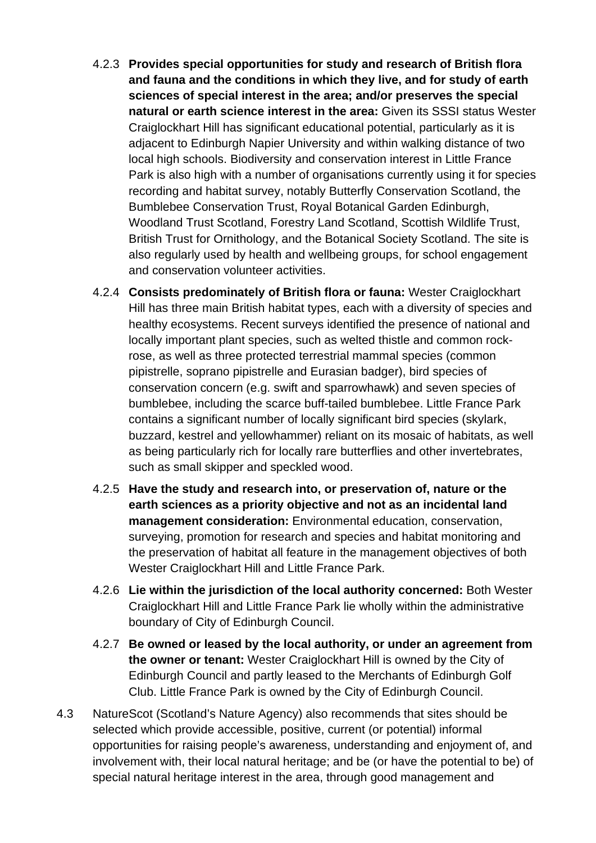- 4.2.3 **Provides special opportunities for study and research of British flora and fauna and the conditions in which they live, and for study of earth sciences of special interest in the area; and/or preserves the special natural or earth science interest in the area:** Given its SSSI status Wester Craiglockhart Hill has significant educational potential, particularly as it is adjacent to Edinburgh Napier University and within walking distance of two local high schools. Biodiversity and conservation interest in Little France Park is also high with a number of organisations currently using it for species recording and habitat survey, notably Butterfly Conservation Scotland, the Bumblebee Conservation Trust, Royal Botanical Garden Edinburgh, Woodland Trust Scotland, Forestry Land Scotland, Scottish Wildlife Trust, British Trust for Ornithology, and the Botanical Society Scotland. The site is also regularly used by health and wellbeing groups, for school engagement and conservation volunteer activities.
- 4.2.4 **Consists predominately of British flora or fauna:** Wester Craiglockhart Hill has three main British habitat types, each with a diversity of species and healthy ecosystems. Recent surveys identified the presence of national and locally important plant species, such as welted thistle and common rockrose, as well as three protected terrestrial mammal species (common pipistrelle, soprano pipistrelle and Eurasian badger), bird species of conservation concern (e.g. swift and sparrowhawk) and seven species of bumblebee, including the scarce buff-tailed bumblebee. Little France Park contains a significant number of locally significant bird species (skylark, buzzard, kestrel and yellowhammer) reliant on its mosaic of habitats, as well as being particularly rich for locally rare butterflies and other invertebrates, such as small skipper and speckled wood.
- 4.2.5 **Have the study and research into, or preservation of, nature or the earth sciences as a priority objective and not as an incidental land management consideration:** Environmental education, conservation, surveying, promotion for research and species and habitat monitoring and the preservation of habitat all feature in the management objectives of both Wester Craiglockhart Hill and Little France Park.
- 4.2.6 **Lie within the jurisdiction of the local authority concerned:** Both Wester Craiglockhart Hill and Little France Park lie wholly within the administrative boundary of City of Edinburgh Council.
- 4.2.7 **Be owned or leased by the local authority, or under an agreement from the owner or tenant:** Wester Craiglockhart Hill is owned by the City of Edinburgh Council and partly leased to the Merchants of Edinburgh Golf Club. Little France Park is owned by the City of Edinburgh Council.
- 4.3 NatureScot (Scotland's Nature Agency) also recommends that sites should be selected which provide accessible, positive, current (or potential) informal opportunities for raising people's awareness, understanding and enjoyment of, and involvement with, their local natural heritage; and be (or have the potential to be) of special natural heritage interest in the area, through good management and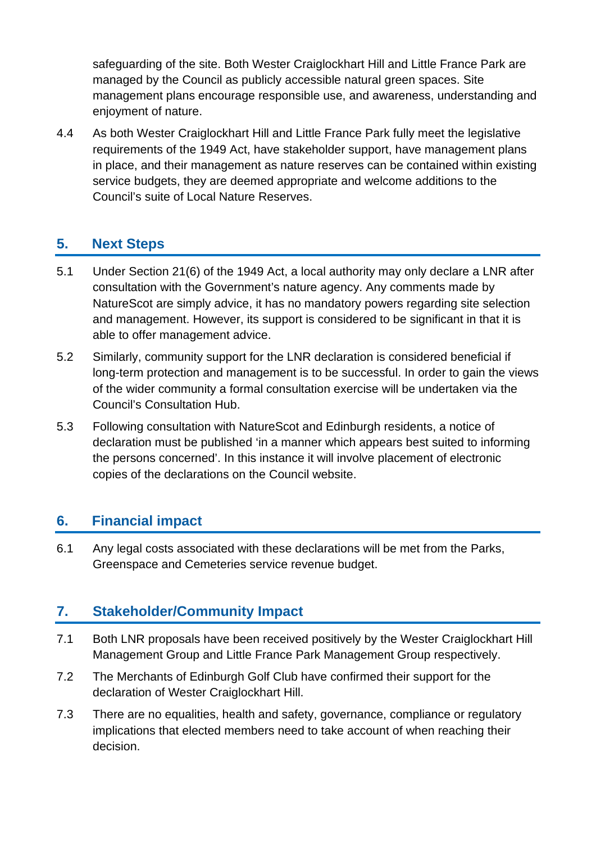safeguarding of the site. Both Wester Craiglockhart Hill and Little France Park are managed by the Council as publicly accessible natural green spaces. Site management plans encourage responsible use, and awareness, understanding and enjoyment of nature.

4.4 As both Wester Craiglockhart Hill and Little France Park fully meet the legislative requirements of the 1949 Act, have stakeholder support, have management plans in place, and their management as nature reserves can be contained within existing service budgets, they are deemed appropriate and welcome additions to the Council's suite of Local Nature Reserves.

## **5. Next Steps**

- 5.1 Under Section 21(6) of the 1949 Act, a local authority may only declare a LNR after consultation with the Government's nature agency. Any comments made by NatureScot are simply advice, it has no mandatory powers regarding site selection and management. However, its support is considered to be significant in that it is able to offer management advice.
- 5.2 Similarly, community support for the LNR declaration is considered beneficial if long-term protection and management is to be successful. In order to gain the views of the wider community a formal consultation exercise will be undertaken via the Council's Consultation Hub.
- 5.3 Following consultation with NatureScot and Edinburgh residents, a notice of declaration must be published 'in a manner which appears best suited to informing the persons concerned'. In this instance it will involve placement of electronic copies of the declarations on the Council website.

#### **6. Financial impact**

6.1 Any legal costs associated with these declarations will be met from the Parks, Greenspace and Cemeteries service revenue budget.

### **7. Stakeholder/Community Impact**

- 7.1 Both LNR proposals have been received positively by the Wester Craiglockhart Hill Management Group and Little France Park Management Group respectively.
- 7.2 The Merchants of Edinburgh Golf Club have confirmed their support for the declaration of Wester Craiglockhart Hill.
- 7.3 There are no equalities, health and safety, governance, compliance or regulatory implications that elected members need to take account of when reaching their decision.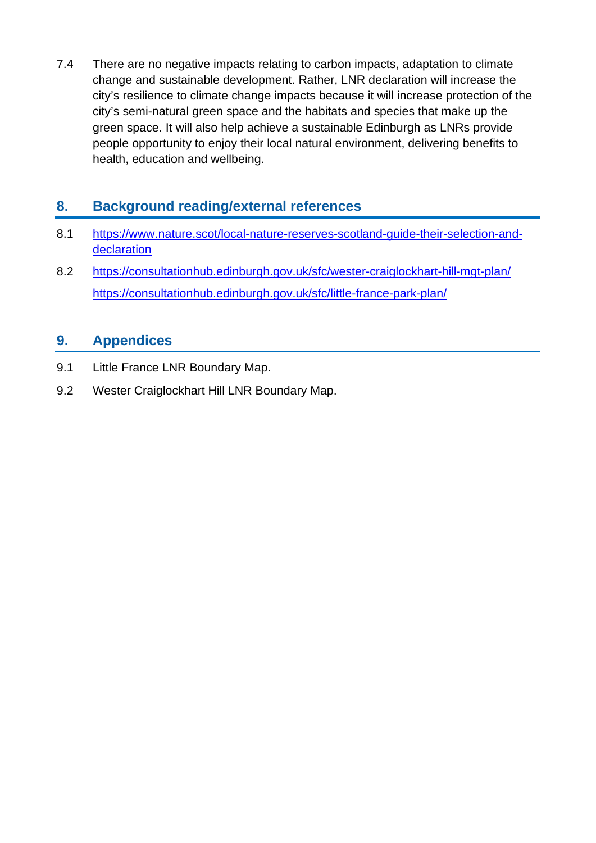7.4 There are no negative impacts relating to carbon impacts, adaptation to climate change and sustainable development. Rather, LNR declaration will increase the city's resilience to climate change impacts because it will increase protection of the city's semi-natural green space and the habitats and species that make up the green space. It will also help achieve a sustainable Edinburgh as LNRs provide people opportunity to enjoy their local natural environment, delivering benefits to health, education and wellbeing.

## **8. Background reading/external references**

- 8.1 [https://www.nature.scot/local-nature-reserves-scotland-guide-their-selection-and](https://www.nature.scot/local-nature-reserves-scotland-guide-their-selection-and-declaration)[declaration](https://www.nature.scot/local-nature-reserves-scotland-guide-their-selection-and-declaration)
- 8.2 <https://consultationhub.edinburgh.gov.uk/sfc/wester-craiglockhart-hill-mgt-plan/> <https://consultationhub.edinburgh.gov.uk/sfc/little-france-park-plan/>

#### **9. Appendices**

- 9.1 Little France LNR Boundary Map.
- 9.2 Wester Craiglockhart Hill LNR Boundary Map.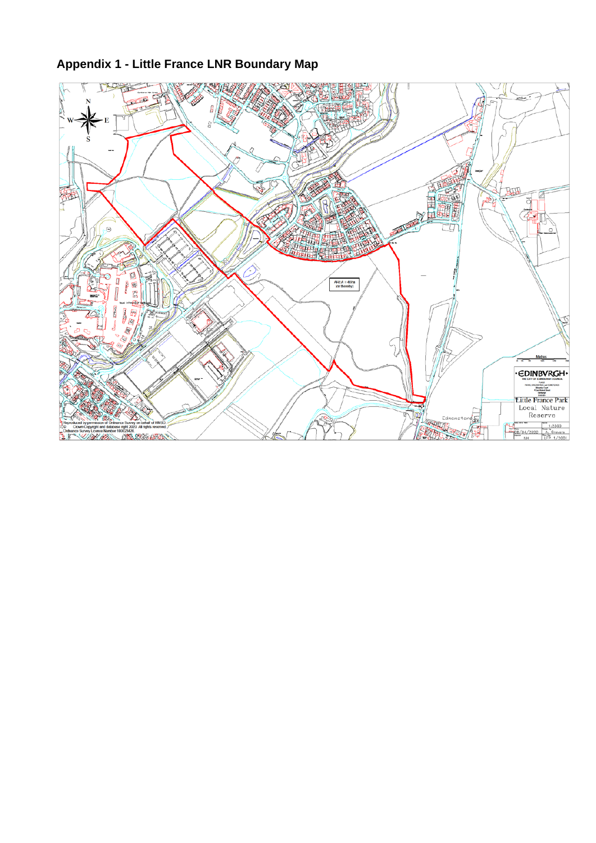# **Appendix 1 - Little France LNR Boundary Map**